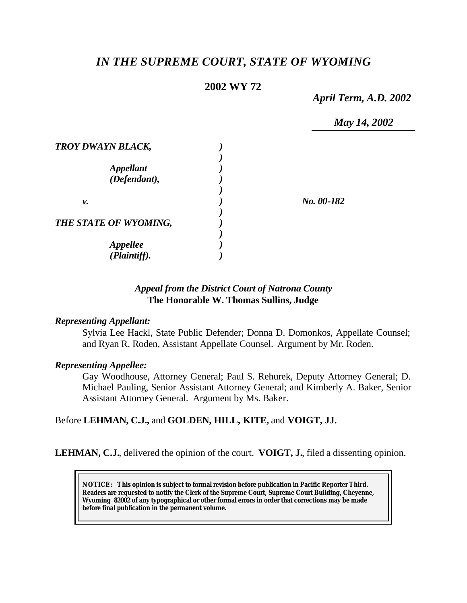# *IN THE SUPREME COURT, STATE OF WYOMING*

# **2002 WY 72**

*April Term, A.D. 2002*

*May 14, 2002*

| TROY DWAYN BLACK,                |            |
|----------------------------------|------------|
| <b>Appellant</b><br>(Defendant), |            |
| ν.                               | No. 00-182 |
| THE STATE OF WYOMING,            |            |
| <b>Appellee</b>                  |            |
| $(\overline{Plaintff}).$         |            |

# *Appeal from the District Court of Natrona County* **The Honorable W. Thomas Sullins, Judge**

### *Representing Appellant:*

Sylvia Lee Hackl, State Public Defender; Donna D. Domonkos, Appellate Counsel; and Ryan R. Roden, Assistant Appellate Counsel. Argument by Mr. Roden.

### *Representing Appellee:*

Gay Woodhouse, Attorney General; Paul S. Rehurek, Deputy Attorney General; D. Michael Pauling, Senior Assistant Attorney General; and Kimberly A. Baker, Senior Assistant Attorney General. Argument by Ms. Baker.

### Before **LEHMAN, C.J.,** and **GOLDEN, HILL, KITE,** and **VOIGT, JJ.**

**LEHMAN, C.J.**, delivered the opinion of the court. **VOIGT, J.**, filed a dissenting opinion.

**NOTICE:** *This opinion is subject to formal revision before publication in Pacific Reporter Third. Readers are requested to notify the Clerk of the Supreme Court, Supreme Court Building, Cheyenne, Wyoming 82002 of any typographical or other formal errors in order that corrections may be made before final publication in the permanent volume.*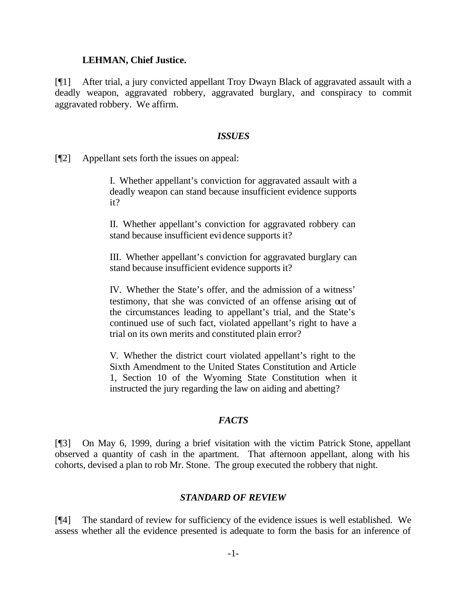#### **LEHMAN, Chief Justice.**

[¶1] After trial, a jury convicted appellant Troy Dwayn Black of aggravated assault with a deadly weapon, aggravated robbery, aggravated burglary, and conspiracy to commit aggravated robbery. We affirm.

#### *ISSUES*

[¶2] Appellant sets forth the issues on appeal:

I. Whether appellant's conviction for aggravated assault with a deadly weapon can stand because insufficient evidence supports it?

II. Whether appellant's conviction for aggravated robbery can stand because insufficient evidence supports it?

III. Whether appellant's conviction for aggravated burglary can stand because insufficient evidence supports it?

IV. Whether the State's offer, and the admission of a witness' testimony, that she was convicted of an offense arising out of the circumstances leading to appellant's trial, and the State's continued use of such fact, violated appellant's right to have a trial on its own merits and constituted plain error?

V. Whether the district court violated appellant's right to the Sixth Amendment to the United States Constitution and Article 1, Section 10 of the Wyoming State Constitution when it instructed the jury regarding the law on aiding and abetting?

### *FACTS*

[¶3] On May 6, 1999, during a brief visitation with the victim Patrick Stone, appellant observed a quantity of cash in the apartment. That afternoon appellant, along with his cohorts, devised a plan to rob Mr. Stone. The group executed the robbery that night.

### *STANDARD OF REVIEW*

[¶4] The standard of review for sufficiency of the evidence issues is well established. We assess whether all the evidence presented is adequate to form the basis for an inference of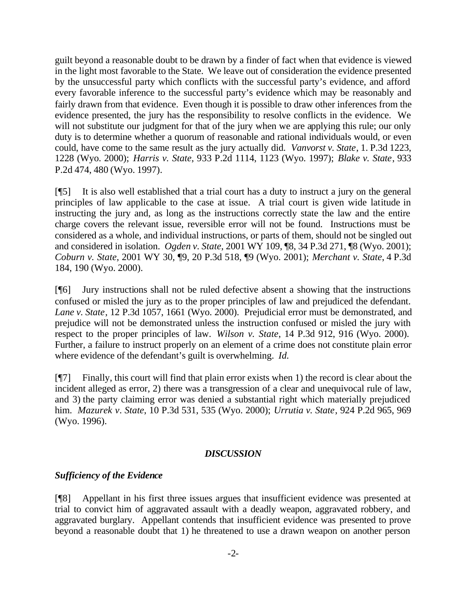guilt beyond a reasonable doubt to be drawn by a finder of fact when that evidence is viewed in the light most favorable to the State. We leave out of consideration the evidence presented by the unsuccessful party which conflicts with the successful party's evidence, and afford every favorable inference to the successful party's evidence which may be reasonably and fairly drawn from that evidence. Even though it is possible to draw other inferences from the evidence presented, the jury has the responsibility to resolve conflicts in the evidence. We will not substitute our judgment for that of the jury when we are applying this rule; our only duty is to determine whether a quorum of reasonable and rational individuals would, or even could, have come to the same result as the jury actually did. *Vanvorst v. State*, 1. P.3d 1223, 1228 (Wyo. 2000); *Harris v. State*, 933 P.2d 1114, 1123 (Wyo. 1997); *Blake v. State*, 933 P.2d 474, 480 (Wyo. 1997).

[¶5] It is also well established that a trial court has a duty to instruct a jury on the general principles of law applicable to the case at issue. A trial court is given wide latitude in instructing the jury and, as long as the instructions correctly state the law and the entire charge covers the relevant issue, reversible error will not be found. Instructions must be considered as a whole, and individual instructions, or parts of them, should not be singled out and considered in isolation. *Ogden v. State*, 2001 WY 109, ¶8, 34 P.3d 271, ¶8 (Wyo. 2001); *Coburn v. State*, 2001 WY 30, ¶9, 20 P.3d 518, ¶9 (Wyo. 2001); *Merchant v. State*, 4 P.3d 184, 190 (Wyo. 2000).

[¶6] Jury instructions shall not be ruled defective absent a showing that the instructions confused or misled the jury as to the proper principles of law and prejudiced the defendant. *Lane v. State*, 12 P.3d 1057, 1661 (Wyo. 2000). Prejudicial error must be demonstrated, and prejudice will not be demonstrated unless the instruction confused or misled the jury with respect to the proper principles of law. *Wilson v. State*, 14 P.3d 912, 916 (Wyo. 2000). Further, a failure to instruct properly on an element of a crime does not constitute plain error where evidence of the defendant's guilt is overwhelming. *Id.*

[¶7] Finally, this court will find that plain error exists when 1) the record is clear about the incident alleged as error, 2) there was a transgression of a clear and unequivocal rule of law, and 3) the party claiming error was denied a substantial right which materially prejudiced him. *Mazurek v*. *State*, 10 P.3d 531, 535 (Wyo. 2000); *Urrutia v. State*, 924 P.2d 965, 969 (Wyo. 1996).

### *DISCUSSION*

### *Sufficiency of the Evidence*

[¶8] Appellant in his first three issues argues that insufficient evidence was presented at trial to convict him of aggravated assault with a deadly weapon, aggravated robbery, and aggravated burglary. Appellant contends that insufficient evidence was presented to prove beyond a reasonable doubt that 1) he threatened to use a drawn weapon on another person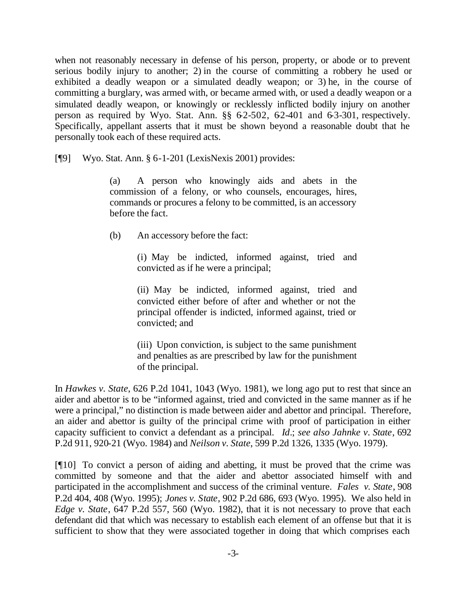when not reasonably necessary in defense of his person, property, or abode or to prevent serious bodily injury to another; 2) in the course of committing a robbery he used or exhibited a deadly weapon or a simulated deadly weapon; or 3) he, in the course of committing a burglary, was armed with, or became armed with, or used a deadly weapon or a simulated deadly weapon, or knowingly or recklessly inflicted bodily injury on another person as required by Wyo. Stat. Ann.  $\S\S 6-2-502$ ,  $62-401$  and  $6-3-301$ , respectively. Specifically, appellant asserts that it must be shown beyond a reasonable doubt that he personally took each of these required acts.

[¶9] Wyo. Stat. Ann. § 6-1-201 (LexisNexis 2001) provides:

(a) A person who knowingly aids and abets in the commission of a felony, or who counsels, encourages, hires, commands or procures a felony to be committed, is an accessory before the fact.

(b) An accessory before the fact:

(i) May be indicted, informed against, tried and convicted as if he were a principal;

(ii) May be indicted, informed against, tried and convicted either before of after and whether or not the principal offender is indicted, informed against, tried or convicted; and

(iii) Upon conviction, is subject to the same punishment and penalties as are prescribed by law for the punishment of the principal.

In *Hawkes v. State*, 626 P.2d 1041, 1043 (Wyo. 1981), we long ago put to rest that since an aider and abettor is to be "informed against, tried and convicted in the same manner as if he were a principal," no distinction is made between aider and abettor and principal. Therefore, an aider and abettor is guilty of the principal crime with proof of participation in either capacity sufficient to convict a defendant as a principal. *Id*.; *see also Jahnke v*. *State*, 692 P.2d 911, 920-21 (Wyo. 1984) and *Neilson v. State*, 599 P.2d 1326, 1335 (Wyo. 1979).

[¶10] To convict a person of aiding and abetting, it must be proved that the crime was committed by someone and that the aider and abettor associated himself with and participated in the accomplishment and success of the criminal venture. *Fales v. State*, 908 P.2d 404, 408 (Wyo. 1995); *Jones v. State*, 902 P.2d 686, 693 (Wyo. 1995). We also held in *Edge v. State*, 647 P.2d 557, 560 (Wyo. 1982), that it is not necessary to prove that each defendant did that which was necessary to establish each element of an offense but that it is sufficient to show that they were associated together in doing that which comprises each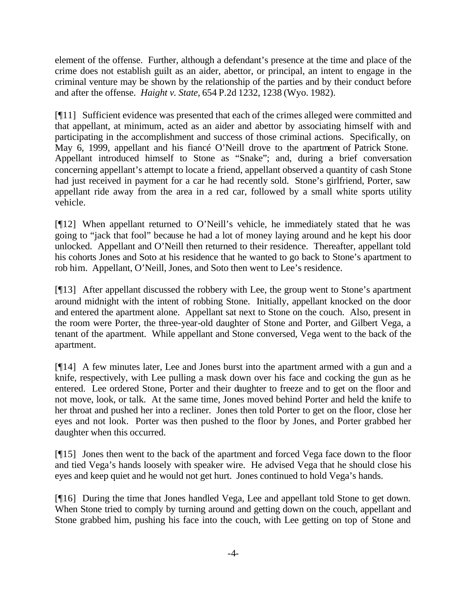element of the offense. Further, although a defendant's presence at the time and place of the crime does not establish guilt as an aider, abettor, or principal, an intent to engage in the criminal venture may be shown by the relationship of the parties and by their conduct before and after the offense. *Haight v. State*, 654 P.2d 1232, 1238 (Wyo. 1982).

[¶11] Sufficient evidence was presented that each of the crimes alleged were committed and that appellant, at minimum, acted as an aider and abettor by associating himself with and participating in the accomplishment and success of those criminal actions. Specifically, on May 6, 1999, appellant and his fiancé O'Neill drove to the apartment of Patrick Stone. Appellant introduced himself to Stone as "Snake"; and, during a brief conversation concerning appellant's attempt to locate a friend, appellant observed a quantity of cash Stone had just received in payment for a car he had recently sold. Stone's girlfriend, Porter, saw appellant ride away from the area in a red car, followed by a small white sports utility vehicle.

[¶12] When appellant returned to O'Neill's vehicle, he immediately stated that he was going to "jack that fool" because he had a lot of money laying around and he kept his door unlocked. Appellant and O'Neill then returned to their residence. Thereafter, appellant told his cohorts Jones and Soto at his residence that he wanted to go back to Stone's apartment to rob him. Appellant, O'Neill, Jones, and Soto then went to Lee's residence.

[¶13] After appellant discussed the robbery with Lee, the group went to Stone's apartment around midnight with the intent of robbing Stone. Initially, appellant knocked on the door and entered the apartment alone. Appellant sat next to Stone on the couch. Also, present in the room were Porter, the three-year-old daughter of Stone and Porter, and Gilbert Vega, a tenant of the apartment. While appellant and Stone conversed, Vega went to the back of the apartment.

[¶14] A few minutes later, Lee and Jones burst into the apartment armed with a gun and a knife, respectively, with Lee pulling a mask down over his face and cocking the gun as he entered. Lee ordered Stone, Porter and their daughter to freeze and to get on the floor and not move, look, or talk. At the same time, Jones moved behind Porter and held the knife to her throat and pushed her into a recliner. Jones then told Porter to get on the floor, close her eyes and not look. Porter was then pushed to the floor by Jones, and Porter grabbed her daughter when this occurred.

[¶15] Jones then went to the back of the apartment and forced Vega face down to the floor and tied Vega's hands loosely with speaker wire. He advised Vega that he should close his eyes and keep quiet and he would not get hurt. Jones continued to hold Vega's hands.

[¶16] During the time that Jones handled Vega, Lee and appellant told Stone to get down. When Stone tried to comply by turning around and getting down on the couch, appellant and Stone grabbed him, pushing his face into the couch, with Lee getting on top of Stone and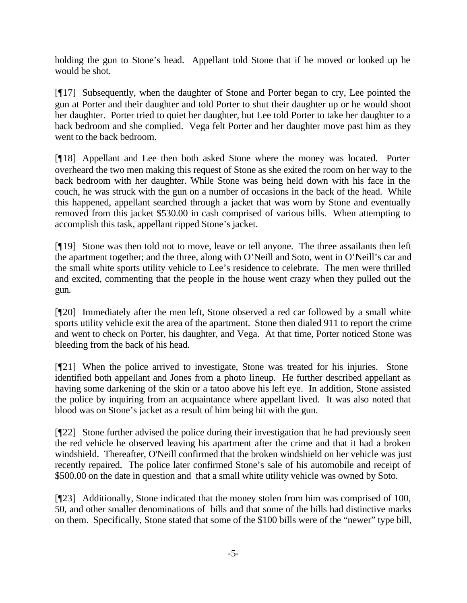holding the gun to Stone's head. Appellant told Stone that if he moved or looked up he would be shot.

[¶17] Subsequently, when the daughter of Stone and Porter began to cry, Lee pointed the gun at Porter and their daughter and told Porter to shut their daughter up or he would shoot her daughter. Porter tried to quiet her daughter, but Lee told Porter to take her daughter to a back bedroom and she complied. Vega felt Porter and her daughter move past him as they went to the back bedroom.

[¶18] Appellant and Lee then both asked Stone where the money was located. Porter overheard the two men making this request of Stone as she exited the room on her way to the back bedroom with her daughter. While Stone was being held down with his face in the couch, he was struck with the gun on a number of occasions in the back of the head. While this happened, appellant searched through a jacket that was worn by Stone and eventually removed from this jacket \$530.00 in cash comprised of various bills. When attempting to accomplish this task, appellant ripped Stone's jacket.

[¶19] Stone was then told not to move, leave or tell anyone. The three assailants then left the apartment together; and the three, along with O'Neill and Soto, went in O'Neill's car and the small white sports utility vehicle to Lee's residence to celebrate. The men were thrilled and excited, commenting that the people in the house went crazy when they pulled out the gun.

[¶20] Immediately after the men left, Stone observed a red car followed by a small white sports utility vehicle exit the area of the apartment. Stone then dialed 911 to report the crime and went to check on Porter, his daughter, and Vega. At that time, Porter noticed Stone was bleeding from the back of his head.

[¶21] When the police arrived to investigate, Stone was treated for his injuries. Stone identified both appellant and Jones from a photo lineup. He further described appellant as having some darkening of the skin or a tatoo above his left eye. In addition, Stone assisted the police by inquiring from an acquaintance where appellant lived. It was also noted that blood was on Stone's jacket as a result of him being hit with the gun.

[¶22] Stone further advised the police during their investigation that he had previously seen the red vehicle he observed leaving his apartment after the crime and that it had a broken windshield. Thereafter, O'Neill confirmed that the broken windshield on her vehicle was just recently repaired. The police later confirmed Stone's sale of his automobile and receipt of \$500.00 on the date in question and that a small white utility vehicle was owned by Soto.

[¶23] Additionally, Stone indicated that the money stolen from him was comprised of 100, 50, and other smaller denominations of bills and that some of the bills had distinctive marks on them. Specifically, Stone stated that some of the \$100 bills were of the "newer" type bill,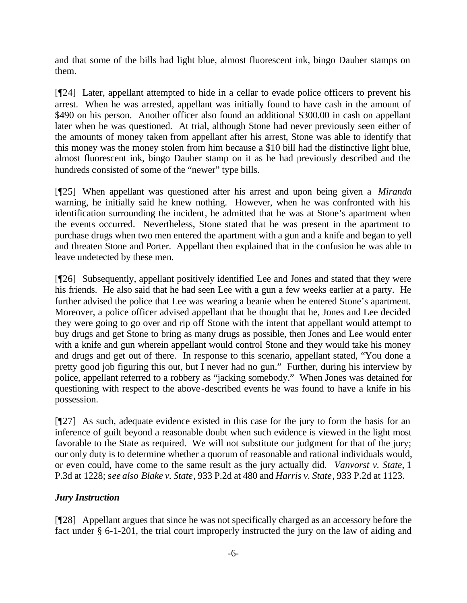and that some of the bills had light blue, almost fluorescent ink, bingo Dauber stamps on them.

[¶24] Later, appellant attempted to hide in a cellar to evade police officers to prevent his arrest. When he was arrested, appellant was initially found to have cash in the amount of \$490 on his person. Another officer also found an additional \$300.00 in cash on appellant later when he was questioned. At trial, although Stone had never previously seen either of the amounts of money taken from appellant after his arrest, Stone was able to identify that this money was the money stolen from him because a \$10 bill had the distinctive light blue, almost fluorescent ink, bingo Dauber stamp on it as he had previously described and the hundreds consisted of some of the "newer" type bills.

[¶25] When appellant was questioned after his arrest and upon being given a *Miranda* warning, he initially said he knew nothing. However, when he was confronted with his identification surrounding the incident, he admitted that he was at Stone's apartment when the events occurred. Nevertheless, Stone stated that he was present in the apartment to purchase drugs when two men entered the apartment with a gun and a knife and began to yell and threaten Stone and Porter. Appellant then explained that in the confusion he was able to leave undetected by these men.

[¶26] Subsequently, appellant positively identified Lee and Jones and stated that they were his friends. He also said that he had seen Lee with a gun a few weeks earlier at a party. He further advised the police that Lee was wearing a beanie when he entered Stone's apartment. Moreover, a police officer advised appellant that he thought that he, Jones and Lee decided they were going to go over and rip off Stone with the intent that appellant would attempt to buy drugs and get Stone to bring as many drugs as possible, then Jones and Lee would enter with a knife and gun wherein appellant would control Stone and they would take his money and drugs and get out of there. In response to this scenario, appellant stated, "You done a pretty good job figuring this out, but I never had no gun." Further, during his interview by police, appellant referred to a robbery as "jacking somebody." When Jones was detained for questioning with respect to the above-described events he was found to have a knife in his possession.

[¶27] As such, adequate evidence existed in this case for the jury to form the basis for an inference of guilt beyond a reasonable doubt when such evidence is viewed in the light most favorable to the State as required. We will not substitute our judgment for that of the jury; our only duty is to determine whether a quorum of reasonable and rational individuals would, or even could, have come to the same result as the jury actually did. *Vanvorst v. State*, 1 P.3d at 1228; s*ee also Blake v. State*, 933 P.2d at 480 and *Harris v. State*, 933 P.2d at 1123.

# *Jury Instruction*

[¶28] Appellant argues that since he was not specifically charged as an accessory before the fact under § 6-1-201, the trial court improperly instructed the jury on the law of aiding and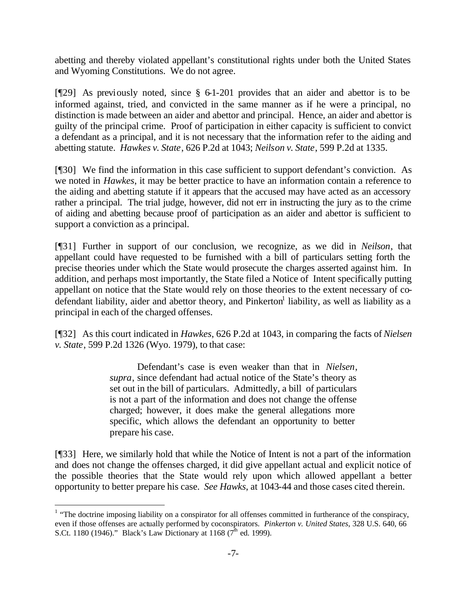abetting and thereby violated appellant's constitutional rights under both the United States and Wyoming Constitutions. We do not agree.

[¶29] As previously noted, since § 6-1-201 provides that an aider and abettor is to be informed against, tried, and convicted in the same manner as if he were a principal, no distinction is made between an aider and abettor and principal. Hence, an aider and abettor is guilty of the principal crime. Proof of participation in either capacity is sufficient to convict a defendant as a principal, and it is not necessary that the information refer to the aiding and abetting statute. *Hawkes v. State*, 626 P.2d at 1043; *Neilson v. State*, 599 P.2d at 1335.

[¶30] We find the information in this case sufficient to support defendant's conviction. As we noted in *Hawkes*, it may be better practice to have an information contain a reference to the aiding and abetting statute if it appears that the accused may have acted as an accessory rather a principal. The trial judge, however, did not err in instructing the jury as to the crime of aiding and abetting because proof of participation as an aider and abettor is sufficient to support a conviction as a principal.

[¶31] Further in support of our conclusion, we recognize, as we did in *Neilson*, that appellant could have requested to be furnished with a bill of particulars setting forth the precise theories under which the State would prosecute the charges asserted against him. In addition, and perhaps most importantly, the State filed a Notice of Intent specifically putting appellant on notice that the State would rely on those theories to the extent necessary of codefendant liability, aider and abettor theory, and Pinkerton<sup>1</sup> liability, as well as liability as a principal in each of the charged offenses.

[¶32] As this court indicated in *Hawkes*, 626 P.2d at 1043, in comparing the facts of *Nielsen v. State*, 599 P.2d 1326 (Wyo. 1979), to that case:

> Defendant's case is even weaker than that in *Nielsen*, *supra*, since defendant had actual notice of the State's theory as set out in the bill of particulars. Admittedly, a bill of particulars is not a part of the information and does not change the offense charged; however, it does make the general allegations more specific, which allows the defendant an opportunity to better prepare his case.

[¶33] Here, we similarly hold that while the Notice of Intent is not a part of the information and does not change the offenses charged, it did give appellant actual and explicit notice of the possible theories that the State would rely upon which allowed appellant a better opportunity to better prepare his case. *See Hawks*, at 1043-44 and those cases cited therein.

l

 $1$  "The doctrine imposing liability on a conspirator for all offenses committed in furtherance of the conspiracy, even if those offenses are actually performed by coconspirators. *Pinkerton v. United States*, 328 U.S. 640, 66 S.Ct. 1180 (1946)." Black's Law Dictionary at 1168 ( $7^{\text{th}}$  ed. 1999).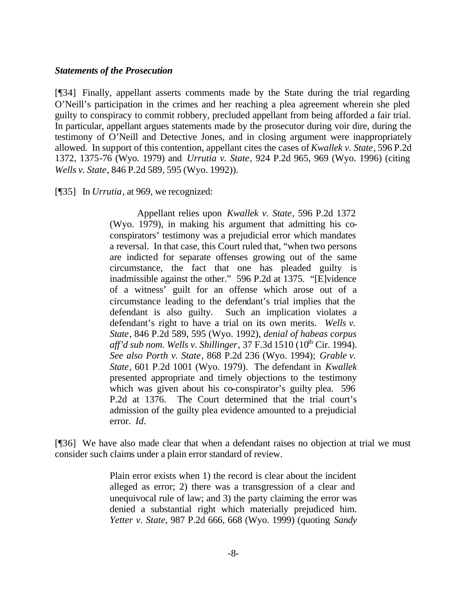#### *Statements of the Prosecution*

[¶34] Finally, appellant asserts comments made by the State during the trial regarding O'Neill's participation in the crimes and her reaching a plea agreement wherein she pled guilty to conspiracy to commit robbery, precluded appellant from being afforded a fair trial. In particular, appellant argues statements made by the prosecutor during voir dire, during the testimony of O'Neill and Detective Jones, and in closing argument were inappropriately allowed. In support of this contention, appellant cites the cases of *Kwallek v. State*, 596 P.2d 1372, 1375-76 (Wyo. 1979) and *Urrutia v. State*, 924 P.2d 965, 969 (Wyo. 1996) (citing *Wells v. State*, 846 P.2d 589, 595 (Wyo. 1992)).

[¶35] In *Urrutia*, at 969, we recognized:

Appellant relies upon *Kwallek v. State*, 596 P.2d 1372 (Wyo. 1979), in making his argument that admitting his coconspirators' testimony was a prejudicial error which mandates a reversal. In that case, this Court ruled that, "when two persons are indicted for separate offenses growing out of the same circumstance, the fact that one has pleaded guilty is inadmissible against the other." 596 P.2d at 1375. "[E]vidence of a witness' guilt for an offense which arose out of a circumstance leading to the defendant's trial implies that the defendant is also guilty. Such an implication violates a defendant's right to have a trial on its own merits. *Wells v. State*, 846 P.2d 589, 595 (Wyo. 1992), *denial of habeas corpus aff'd sub nom. Wells v. Shillinger*, 37 F.3d 1510 (10<sup>th</sup> Cir. 1994). *See also Porth v. State*, 868 P.2d 236 (Wyo. 1994); *Grable v. State*, 601 P.2d 1001 (Wyo. 1979). The defendant in *Kwallek* presented appropriate and timely objections to the testimony which was given about his co-conspirator's guilty plea. 596 P.2d at 1376. The Court determined that the trial court's admission of the guilty plea evidence amounted to a prejudicial error. *Id.*

[¶36] We have also made clear that when a defendant raises no objection at trial we must consider such claims under a plain error standard of review.

> Plain error exists when 1) the record is clear about the incident alleged as error; 2) there was a transgression of a clear and unequivocal rule of law; and 3) the party claiming the error was denied a substantial right which materially prejudiced him. *Yetter v. State*, 987 P.2d 666, 668 (Wyo. 1999) (quoting *Sandy*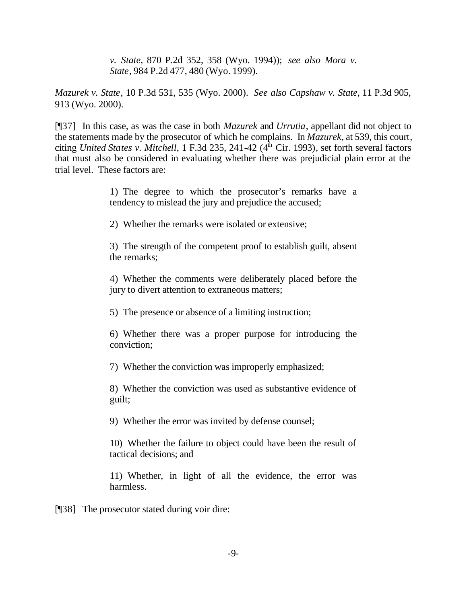*v. State*, 870 P.2d 352, 358 (Wyo. 1994)); *see also Mora v. State*, 984 P.2d 477, 480 (Wyo. 1999).

*Mazurek v. State*, 10 P.3d 531, 535 (Wyo. 2000). *See also Capshaw v. State*, 11 P.3d 905, 913 (Wyo. 2000).

[¶37] In this case, as was the case in both *Mazurek* and *Urrutia*, appellant did not object to the statements made by the prosecutor of which he complains. In *Mazurek*, at 539, this court, citing *United States v. Mitchell*, 1 F.3d 235, 241-42  $(4<sup>th</sup>$  Cir. 1993), set forth several factors that must also be considered in evaluating whether there was prejudicial plain error at the trial level. These factors are:

> 1) The degree to which the prosecutor's remarks have a tendency to mislead the jury and prejudice the accused;

2) Whether the remarks were isolated or extensive;

3) The strength of the competent proof to establish guilt, absent the remarks;

4) Whether the comments were deliberately placed before the jury to divert attention to extraneous matters;

5) The presence or absence of a limiting instruction;

6) Whether there was a proper purpose for introducing the conviction;

7) Whether the conviction was improperly emphasized;

8) Whether the conviction was used as substantive evidence of guilt;

9) Whether the error was invited by defense counsel;

10) Whether the failure to object could have been the result of tactical decisions; and

11) Whether, in light of all the evidence, the error was harmless.

[¶38] The prosecutor stated during voir dire: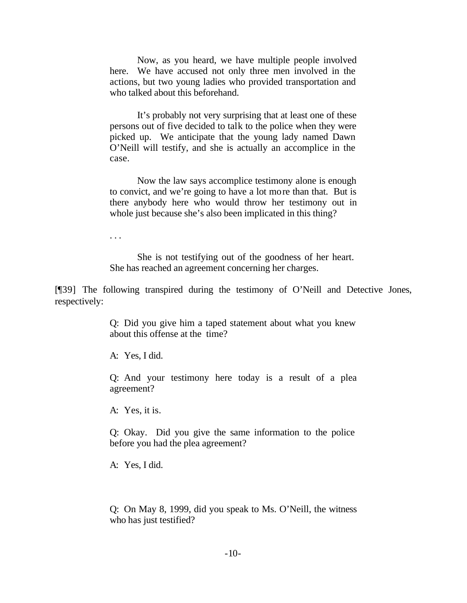Now, as you heard, we have multiple people involved here. We have accused not only three men involved in the actions, but two young ladies who provided transportation and who talked about this beforehand.

It's probably not very surprising that at least one of these persons out of five decided to talk to the police when they were picked up. We anticipate that the young lady named Dawn O'Neill will testify, and she is actually an accomplice in the case.

Now the law says accomplice testimony alone is enough to convict, and we're going to have a lot more than that. But is there anybody here who would throw her testimony out in whole just because she's also been implicated in this thing?

. . .

She is not testifying out of the goodness of her heart. She has reached an agreement concerning her charges.

[¶39] The following transpired during the testimony of O'Neill and Detective Jones, respectively:

> Q: Did you give him a taped statement about what you knew about this offense at the time?

A: Yes, I did.

Q: And your testimony here today is a result of a plea agreement?

A: Yes, it is.

Q: Okay. Did you give the same information to the police before you had the plea agreement?

A: Yes, I did.

Q: On May 8, 1999, did you speak to Ms. O'Neill, the witness who has just testified?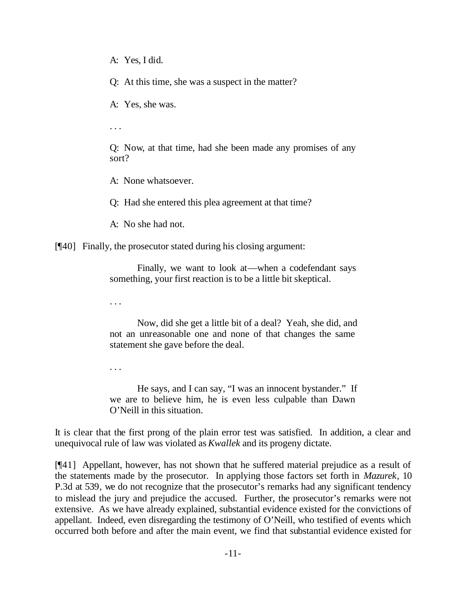A: Yes, I did.

Q: At this time, she was a suspect in the matter?

A: Yes, she was.

. . .

Q: Now, at that time, had she been made any promises of any sort?

A: None whatsoever.

Q: Had she entered this plea agreement at that time?

A: No she had not.

[¶40] Finally, the prosecutor stated during his closing argument:

Finally, we want to look at—when a codefendant says something, your first reaction is to be a little bit skeptical.

. . .

Now, did she get a little bit of a deal? Yeah, she did, and not an unreasonable one and none of that changes the same statement she gave before the deal.

. . .

He says, and I can say, "I was an innocent bystander." If we are to believe him, he is even less culpable than Dawn O'Neill in this situation.

It is clear that the first prong of the plain error test was satisfied. In addition, a clear and unequivocal rule of law was violated as *Kwallek* and its progeny dictate.

[¶41] Appellant, however, has not shown that he suffered material prejudice as a result of the statements made by the prosecutor. In applying those factors set forth in *Mazurek*, 10 P.3d at 539, we do not recognize that the prosecutor's remarks had any significant tendency to mislead the jury and prejudice the accused. Further, the prosecutor's remarks were not extensive. As we have already explained, substantial evidence existed for the convictions of appellant. Indeed, even disregarding the testimony of O'Neill, who testified of events which occurred both before and after the main event, we find that substantial evidence existed for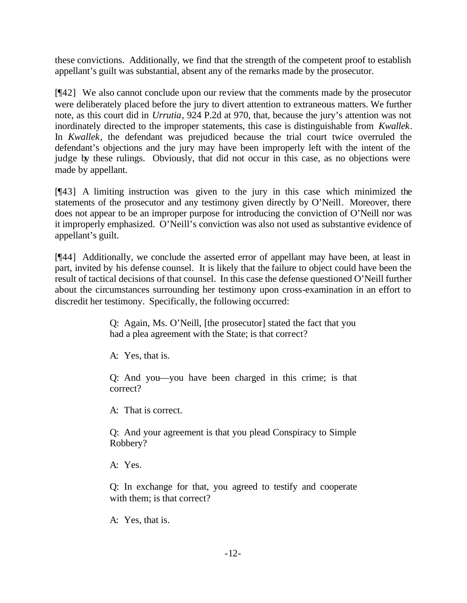these convictions. Additionally, we find that the strength of the competent proof to establish appellant's guilt was substantial, absent any of the remarks made by the prosecutor.

[¶42] We also cannot conclude upon our review that the comments made by the prosecutor were deliberately placed before the jury to divert attention to extraneous matters. We further note, as this court did in *Urrutia*, 924 P.2d at 970, that, because the jury's attention was not inordinately directed to the improper statements, this case is distinguishable from *Kwallek*. In *Kwallek*, the defendant was prejudiced because the trial court twice overruled the defendant's objections and the jury may have been improperly left with the intent of the judge by these rulings. Obviously, that did not occur in this case, as no objections were made by appellant.

[¶43] A limiting instruction was given to the jury in this case which minimized the statements of the prosecutor and any testimony given directly by O'Neill. Moreover, there does not appear to be an improper purpose for introducing the conviction of O'Neill nor was it improperly emphasized. O'Neill's conviction was also not used as substantive evidence of appellant's guilt.

[¶44] Additionally, we conclude the asserted error of appellant may have been, at least in part, invited by his defense counsel. It is likely that the failure to object could have been the result of tactical decisions of that counsel. In this case the defense questioned O'Neill further about the circumstances surrounding her testimony upon cross-examination in an effort to discredit her testimony. Specifically, the following occurred:

> Q: Again, Ms. O'Neill, [the prosecutor] stated the fact that you had a plea agreement with the State; is that correct?

A: Yes, that is.

Q: And you—you have been charged in this crime; is that correct?

A: That is correct.

Q: And your agreement is that you plead Conspiracy to Simple Robbery?

A: Yes.

Q: In exchange for that, you agreed to testify and cooperate with them; is that correct?

A: Yes, that is.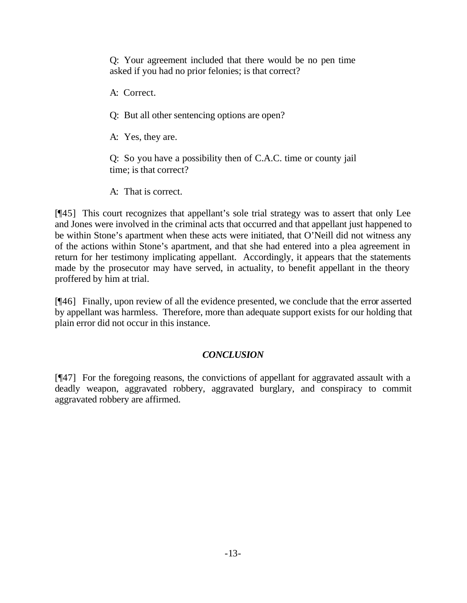Q: Your agreement included that there would be no pen time asked if you had no prior felonies; is that correct?

A: Correct.

Q: But all other sentencing options are open?

A: Yes, they are.

Q: So you have a possibility then of C.A.C. time or county jail time; is that correct?

A: That is correct.

[¶45] This court recognizes that appellant's sole trial strategy was to assert that only Lee and Jones were involved in the criminal acts that occurred and that appellant just happened to be within Stone's apartment when these acts were initiated, that O'Neill did not witness any of the actions within Stone's apartment, and that she had entered into a plea agreement in return for her testimony implicating appellant. Accordingly, it appears that the statements made by the prosecutor may have served, in actuality, to benefit appellant in the theory proffered by him at trial.

[¶46] Finally, upon review of all the evidence presented, we conclude that the error asserted by appellant was harmless. Therefore, more than adequate support exists for our holding that plain error did not occur in this instance.

# *CONCLUSION*

[¶47] For the foregoing reasons, the convictions of appellant for aggravated assault with a deadly weapon, aggravated robbery, aggravated burglary, and conspiracy to commit aggravated robbery are affirmed.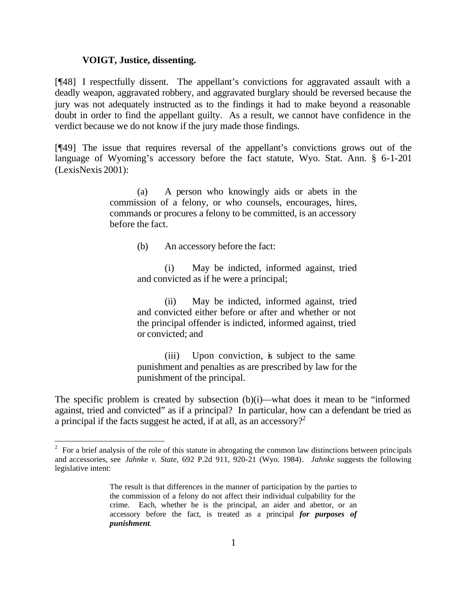#### **VOIGT, Justice, dissenting.**

l

[¶48] I respectfully dissent. The appellant's convictions for aggravated assault with a deadly weapon, aggravated robbery, and aggravated burglary should be reversed because the jury was not adequately instructed as to the findings it had to make beyond a reasonable doubt in order to find the appellant guilty. As a result, we cannot have confidence in the verdict because we do not know if the jury made those findings.

[¶49] The issue that requires reversal of the appellant's convictions grows out of the language of Wyoming's accessory before the fact statute, Wyo. Stat. Ann. § 6-1-201 (LexisNexis 2001):

> (a) A person who knowingly aids or abets in the commission of a felony, or who counsels, encourages, hires, commands or procures a felony to be committed, is an accessory before the fact.

> > (b) An accessory before the fact:

(i) May be indicted, informed against, tried and convicted as if he were a principal;

(ii) May be indicted, informed against, tried and convicted either before or after and whether or not the principal offender is indicted, informed against, tried or convicted; and

(iii) Upon conviction, is subject to the same punishment and penalties as are prescribed by law for the punishment of the principal.

The specific problem is created by subsection (b)(i)—what does it mean to be "informed against, tried and convicted" as if a principal? In particular, how can a defendant be tried as a principal if the facts suggest he acted, if at all, as an accessory?<sup>2</sup>

 $2^2$  For a brief analysis of the role of this statute in abrogating the common law distinctions between principals and accessories, see *Jahnke v. State*, 692 P.2d 911, 920-21 (Wyo. 1984). *Jahnke* suggests the following legislative intent:

The result is that differences in the manner of participation by the parties to the commission of a felony do not affect their individual culpability for the crime. Each, whether he is the principal, an aider and abettor, or an accessory before the fact, is treated as a principal *for purposes of punishment*.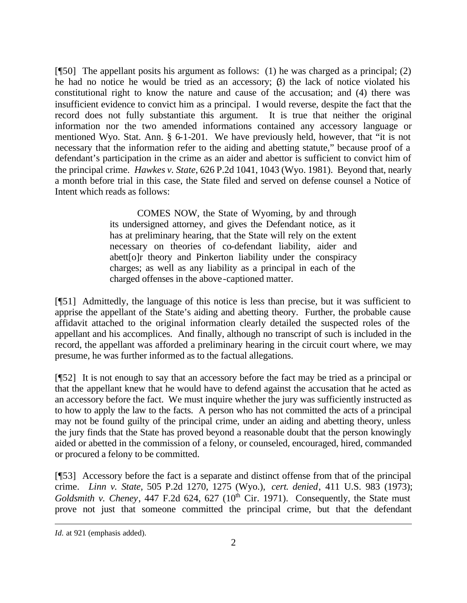[¶50] The appellant posits his argument as follows: (1) he was charged as a principal; (2) he had no notice he would be tried as an accessory;  $\beta$ ) the lack of notice violated his constitutional right to know the nature and cause of the accusation; and (4) there was insufficient evidence to convict him as a principal. I would reverse, despite the fact that the record does not fully substantiate this argument. It is true that neither the original information nor the two amended informations contained any accessory language or mentioned Wyo. Stat. Ann. § 6-1-201. We have previously held, however, that "it is not necessary that the information refer to the aiding and abetting statute," because proof of a defendant's participation in the crime as an aider and abettor is sufficient to convict him of the principal crime. *Hawkes v. State*, 626 P.2d 1041, 1043 (Wyo. 1981). Beyond that, nearly a month before trial in this case, the State filed and served on defense counsel a Notice of Intent which reads as follows:

> COMES NOW, the State of Wyoming, by and through its undersigned attorney, and gives the Defendant notice, as it has at preliminary hearing, that the State will rely on the extent necessary on theories of co-defendant liability, aider and abett[o]r theory and Pinkerton liability under the conspiracy charges; as well as any liability as a principal in each of the charged offenses in the above-captioned matter.

[¶51] Admittedly, the language of this notice is less than precise, but it was sufficient to apprise the appellant of the State's aiding and abetting theory. Further, the probable cause affidavit attached to the original information clearly detailed the suspected roles of the appellant and his accomplices. And finally, although no transcript of such is included in the record, the appellant was afforded a preliminary hearing in the circuit court where, we may presume, he was further informed as to the factual allegations.

[¶52] It is not enough to say that an accessory before the fact may be tried as a principal or that the appellant knew that he would have to defend against the accusation that he acted as an accessory before the fact. We must inquire whether the jury was sufficiently instructed as to how to apply the law to the facts. A person who has not committed the acts of a principal may not be found guilty of the principal crime, under an aiding and abetting theory, unless the jury finds that the State has proved beyond a reasonable doubt that the person knowingly aided or abetted in the commission of a felony, or counseled, encouraged, hired, commanded or procured a felony to be committed.

[¶53] Accessory before the fact is a separate and distinct offense from that of the principal crime. *Linn v. State*, 505 P.2d 1270, 1275 (Wyo.), *cert. denied*, 411 U.S. 983 (1973); *Goldsmith v. Cheney*, 447 F.2d 624, 627  $(10<sup>th</sup>$  Cir. 1971). Consequently, the State must prove not just that someone committed the principal crime, but that the defendant

l

*Id.* at 921 (emphasis added).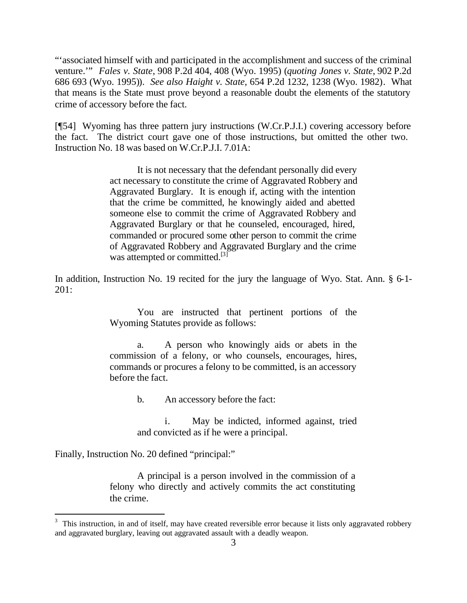"'associated himself with and participated in the accomplishment and success of the criminal venture.'" *Fales v. State*, 908 P.2d 404, 408 (Wyo. 1995) (*quoting Jones v. State*, 902 P.2d 686 693 (Wyo. 1995)). *See also Haight v. State*, 654 P.2d 1232, 1238 (Wyo. 1982). What that means is the State must prove beyond a reasonable doubt the elements of the statutory crime of accessory before the fact.

[¶54] Wyoming has three pattern jury instructions (W.Cr.P.J.I.) covering accessory before the fact. The district court gave one of those instructions, but omitted the other two. Instruction No. 18 was based on W.Cr.P.J.I. 7.01A:

> It is not necessary that the defendant personally did every act necessary to constitute the crime of Aggravated Robbery and Aggravated Burglary. It is enough if, acting with the intention that the crime be committed, he knowingly aided and abetted someone else to commit the crime of Aggravated Robbery and Aggravated Burglary or that he counseled, encouraged, hired, commanded or procured some other person to commit the crime of Aggravated Robbery and Aggravated Burglary and the crime was attempted or committed.<sup>[3]</sup>

In addition, Instruction No. 19 recited for the jury the language of Wyo. Stat. Ann. § 6-1- 201:

> You are instructed that pertinent portions of the Wyoming Statutes provide as follows:

> a. A person who knowingly aids or abets in the commission of a felony, or who counsels, encourages, hires, commands or procures a felony to be committed, is an accessory before the fact.

> > b. An accessory before the fact:

i. May be indicted, informed against, tried and convicted as if he were a principal.

Finally, Instruction No. 20 defined "principal:"

l

A principal is a person involved in the commission of a felony who directly and actively commits the act constituting the crime.

<sup>3</sup> This instruction, in and of itself, may have created reversible error because it lists only aggravated robbery and aggravated burglary, leaving out aggravated assault with a deadly weapon.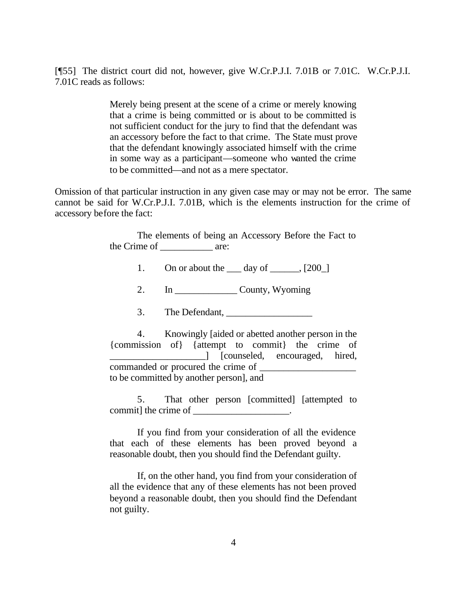[¶55] The district court did not, however, give W.Cr.P.J.I. 7.01B or 7.01C. W.Cr.P.J.I. 7.01C reads as follows:

> Merely being present at the scene of a crime or merely knowing that a crime is being committed or is about to be committed is not sufficient conduct for the jury to find that the defendant was an accessory before the fact to that crime. The State must prove that the defendant knowingly associated himself with the crime in some way as a participant—someone who wanted the crime to be committed—and not as a mere spectator.

Omission of that particular instruction in any given case may or may not be error. The same cannot be said for W.Cr.P.J.I. 7.01B, which is the elements instruction for the crime of accessory before the fact:

> The elements of being an Accessory Before the Fact to the Crime of are:

> > 1. On or about the  $\_\_\_\$  day of  $\_\_\_\_\$  [200 $\_\$ ]

2. In County, Wyoming

3. The Defendant, \_\_\_\_\_\_\_\_\_\_\_\_\_\_\_\_\_\_

4. Knowingly [aided or abetted another person in the {commission of} {attempt to commit} the crime of \_\_\_\_\_\_\_\_\_\_\_\_\_\_\_\_\_\_\_\_] [counseled, encouraged, hired, commanded or procured the crime of to be committed by another person], and

5. That other person [committed] [attempted to commit] the crime of \_\_\_\_\_\_\_\_\_\_\_\_\_\_\_\_\_.

If you find from your consideration of all the evidence that each of these elements has been proved beyond a reasonable doubt, then you should find the Defendant guilty.

If, on the other hand, you find from your consideration of all the evidence that any of these elements has not been proved beyond a reasonable doubt, then you should find the Defendant not guilty.